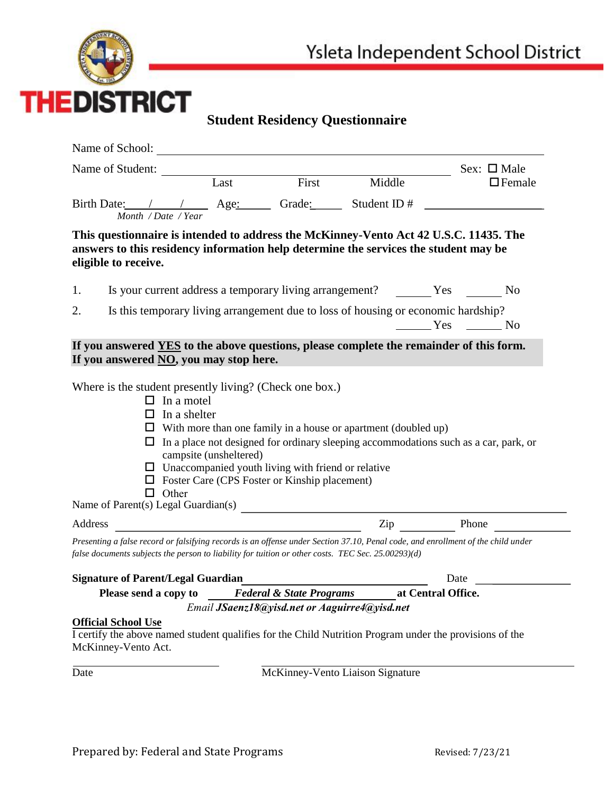

## **Student Residency Questionnaire**

| Name of Student:<br>Sex: $\square$ Male<br>First<br>Middle<br>Last<br>$\Box$ Female<br>Birth Date: $\frac{1}{\frac{1}{100} \times \frac{1}{100}}$ Age: Grade: Student ID #<br>This questionnaire is intended to address the McKinney-Vento Act 42 U.S.C. 11435. The<br>answers to this residency information help determine the services the student may be<br>Is your current address a temporary living arrangement? Yes<br>N <sub>o</sub><br>Is this temporary living arrangement due to loss of housing or economic hardship?<br>$Yes$ No<br>If you answered YES to the above questions, please complete the remainder of this form.<br>If you answered NO, you may stop here.<br>Where is the student presently living? (Check one box.)<br>$\Box$ In a motel<br>$\Box$ In a shelter<br>$\Box$ With more than one family in a house or apartment (doubled up)<br>$\Box$ In a place not designed for ordinary sleeping accommodations such as a car, park, or<br>campsite (unsheltered)<br>$\Box$ Unaccompanied youth living with friend or relative<br>$\Box$ Foster Care (CPS Foster or Kinship placement)<br>$\Box$ Other<br>Zip Phone<br>Presenting a false record or falsifying records is an offense under Section 37.10, Penal code, and enrollment of the child under<br>false documents subjects the person to liability for tuition or other costs. TEC Sec. 25.00293)(d)<br><b>Signature of Parent/Legal Guardian</b><br>Date<br>Please send a copy to Federal & State Programs at Central Office.<br>Email JSaenz18@yisd.net or Aaguirre4@yisd.net | Name of School:            |  |  |
|--------------------------------------------------------------------------------------------------------------------------------------------------------------------------------------------------------------------------------------------------------------------------------------------------------------------------------------------------------------------------------------------------------------------------------------------------------------------------------------------------------------------------------------------------------------------------------------------------------------------------------------------------------------------------------------------------------------------------------------------------------------------------------------------------------------------------------------------------------------------------------------------------------------------------------------------------------------------------------------------------------------------------------------------------------------------------------------------------------------------------------------------------------------------------------------------------------------------------------------------------------------------------------------------------------------------------------------------------------------------------------------------------------------------------------------------------------------------------------------------------------------------------------------------------------------------|----------------------------|--|--|
|                                                                                                                                                                                                                                                                                                                                                                                                                                                                                                                                                                                                                                                                                                                                                                                                                                                                                                                                                                                                                                                                                                                                                                                                                                                                                                                                                                                                                                                                                                                                                                    |                            |  |  |
|                                                                                                                                                                                                                                                                                                                                                                                                                                                                                                                                                                                                                                                                                                                                                                                                                                                                                                                                                                                                                                                                                                                                                                                                                                                                                                                                                                                                                                                                                                                                                                    |                            |  |  |
|                                                                                                                                                                                                                                                                                                                                                                                                                                                                                                                                                                                                                                                                                                                                                                                                                                                                                                                                                                                                                                                                                                                                                                                                                                                                                                                                                                                                                                                                                                                                                                    |                            |  |  |
|                                                                                                                                                                                                                                                                                                                                                                                                                                                                                                                                                                                                                                                                                                                                                                                                                                                                                                                                                                                                                                                                                                                                                                                                                                                                                                                                                                                                                                                                                                                                                                    | eligible to receive.       |  |  |
|                                                                                                                                                                                                                                                                                                                                                                                                                                                                                                                                                                                                                                                                                                                                                                                                                                                                                                                                                                                                                                                                                                                                                                                                                                                                                                                                                                                                                                                                                                                                                                    | 1.                         |  |  |
|                                                                                                                                                                                                                                                                                                                                                                                                                                                                                                                                                                                                                                                                                                                                                                                                                                                                                                                                                                                                                                                                                                                                                                                                                                                                                                                                                                                                                                                                                                                                                                    | 2.                         |  |  |
|                                                                                                                                                                                                                                                                                                                                                                                                                                                                                                                                                                                                                                                                                                                                                                                                                                                                                                                                                                                                                                                                                                                                                                                                                                                                                                                                                                                                                                                                                                                                                                    |                            |  |  |
|                                                                                                                                                                                                                                                                                                                                                                                                                                                                                                                                                                                                                                                                                                                                                                                                                                                                                                                                                                                                                                                                                                                                                                                                                                                                                                                                                                                                                                                                                                                                                                    |                            |  |  |
|                                                                                                                                                                                                                                                                                                                                                                                                                                                                                                                                                                                                                                                                                                                                                                                                                                                                                                                                                                                                                                                                                                                                                                                                                                                                                                                                                                                                                                                                                                                                                                    | Address                    |  |  |
|                                                                                                                                                                                                                                                                                                                                                                                                                                                                                                                                                                                                                                                                                                                                                                                                                                                                                                                                                                                                                                                                                                                                                                                                                                                                                                                                                                                                                                                                                                                                                                    |                            |  |  |
|                                                                                                                                                                                                                                                                                                                                                                                                                                                                                                                                                                                                                                                                                                                                                                                                                                                                                                                                                                                                                                                                                                                                                                                                                                                                                                                                                                                                                                                                                                                                                                    |                            |  |  |
|                                                                                                                                                                                                                                                                                                                                                                                                                                                                                                                                                                                                                                                                                                                                                                                                                                                                                                                                                                                                                                                                                                                                                                                                                                                                                                                                                                                                                                                                                                                                                                    |                            |  |  |
|                                                                                                                                                                                                                                                                                                                                                                                                                                                                                                                                                                                                                                                                                                                                                                                                                                                                                                                                                                                                                                                                                                                                                                                                                                                                                                                                                                                                                                                                                                                                                                    |                            |  |  |
| I certify the above named student qualifies for the Child Nutrition Program under the provisions of the                                                                                                                                                                                                                                                                                                                                                                                                                                                                                                                                                                                                                                                                                                                                                                                                                                                                                                                                                                                                                                                                                                                                                                                                                                                                                                                                                                                                                                                            | <b>Official School Use</b> |  |  |

McKinney-Vento Act.

Date McKinney-Vento Liaison Signature